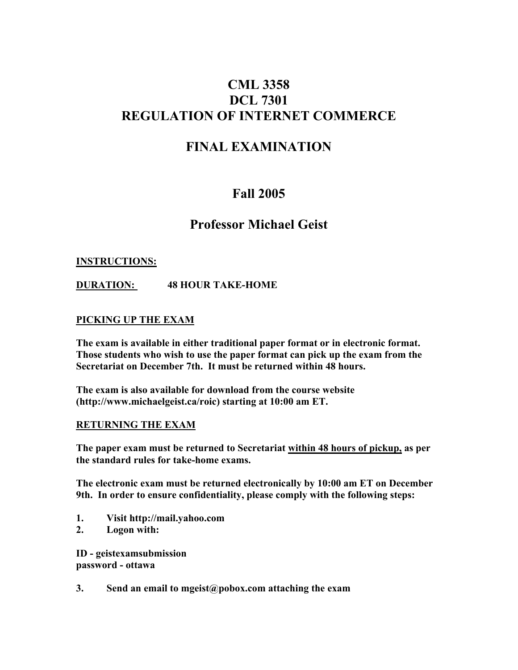# **CML 3358 DCL 7301 REGULATION OF INTERNET COMMERCE**

# **FINAL EXAMINATION**

# **Fall 2005**

## **Professor Michael Geist**

#### **INSTRUCTIONS:**

**DURATION: 48 HOUR TAKE-HOME**

#### **PICKING UP THE EXAM**

**The exam is available in either traditional paper format or in electronic format. Those students who wish to use the paper format can pick up the exam from the Secretariat on December 7th. It must be returned within 48 hours.**

**The exam is also available for download from the course website (http://www.michaelgeist.ca/roic) starting at 10:00 am ET.**

#### **RETURNING THE EXAM**

**The paper exam must be returned to Secretariat within 48 hours of pickup, as per the standard rules for take-home exams.**

**The electronic exam must be returned electronically by 10:00 am ET on December 9th. In order to ensure confidentiality, please comply with the following steps:**

- **1. Visit http://mail.yahoo.com**
- **2. Logon with:**

**ID - geistexamsubmission password - ottawa**

**3. Send an email to mgeist@pobox.com attaching the exam**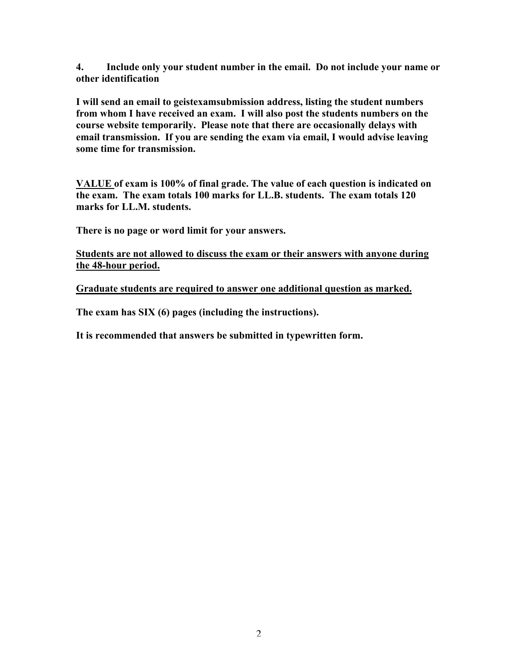**4. Include only your student number in the email. Do not include your name or other identification**

**I will send an email to geistexamsubmission address, listing the student numbers from whom I have received an exam. I will also post the students numbers on the course website temporarily. Please note that there are occasionally delays with email transmission. If you are sending the exam via email, I would advise leaving some time for transmission.**

**VALUE of exam is 100% of final grade. The value of each question is indicated on the exam. The exam totals 100 marks for LL.B. students. The exam totals 120 marks for LL.M. students.**

**There is no page or word limit for your answers.**

**Students are not allowed to discuss the exam or their answers with anyone during the 48-hour period.**

**Graduate students are required to answer one additional question as marked.**

**The exam has SIX (6) pages (including the instructions).**

**It is recommended that answers be submitted in typewritten form.**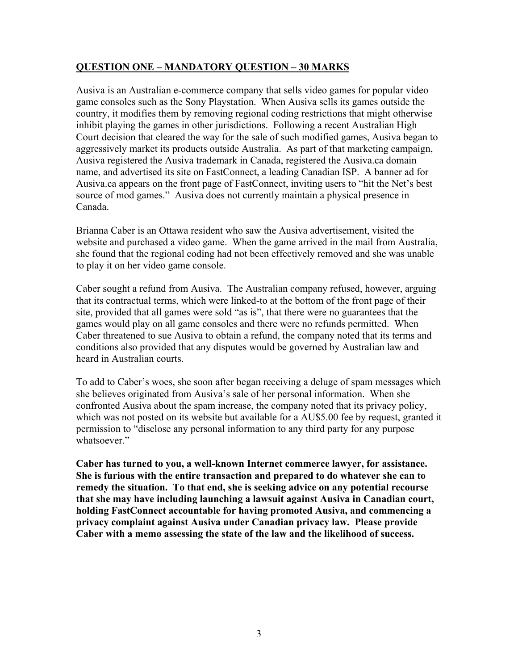#### **QUESTION ONE – MANDATORY QUESTION – 30 MARKS**

Ausiva is an Australian e-commerce company that sells video games for popular video game consoles such as the Sony Playstation. When Ausiva sells its games outside the country, it modifies them by removing regional coding restrictions that might otherwise inhibit playing the games in other jurisdictions. Following a recent Australian High Court decision that cleared the way for the sale of such modified games, Ausiva began to aggressively market its products outside Australia. As part of that marketing campaign, Ausiva registered the Ausiva trademark in Canada, registered the Ausiva.ca domain name, and advertised its site on FastConnect, a leading Canadian ISP. A banner ad for Ausiva.ca appears on the front page of FastConnect, inviting users to "hit the Net's best source of mod games." Ausiva does not currently maintain a physical presence in Canada.

Brianna Caber is an Ottawa resident who saw the Ausiva advertisement, visited the website and purchased a video game. When the game arrived in the mail from Australia, she found that the regional coding had not been effectively removed and she was unable to play it on her video game console.

Caber sought a refund from Ausiva. The Australian company refused, however, arguing that its contractual terms, which were linked-to at the bottom of the front page of their site, provided that all games were sold "as is", that there were no guarantees that the games would play on all game consoles and there were no refunds permitted. When Caber threatened to sue Ausiva to obtain a refund, the company noted that its terms and conditions also provided that any disputes would be governed by Australian law and heard in Australian courts.

To add to Caber's woes, she soon after began receiving a deluge of spam messages which she believes originated from Ausiva's sale of her personal information. When she confronted Ausiva about the spam increase, the company noted that its privacy policy, which was not posted on its website but available for a AU\$5.00 fee by request, granted it permission to "disclose any personal information to any third party for any purpose whatsoever."

**Caber has turned to you, a well-known Internet commerce lawyer, for assistance. She is furious with the entire transaction and prepared to do whatever she can to remedy the situation. To that end, she is seeking advice on any potential recourse that she may have including launching a lawsuit against Ausiva in Canadian court, holding FastConnect accountable for having promoted Ausiva, and commencing a privacy complaint against Ausiva under Canadian privacy law. Please provide Caber with a memo assessing the state of the law and the likelihood of success.**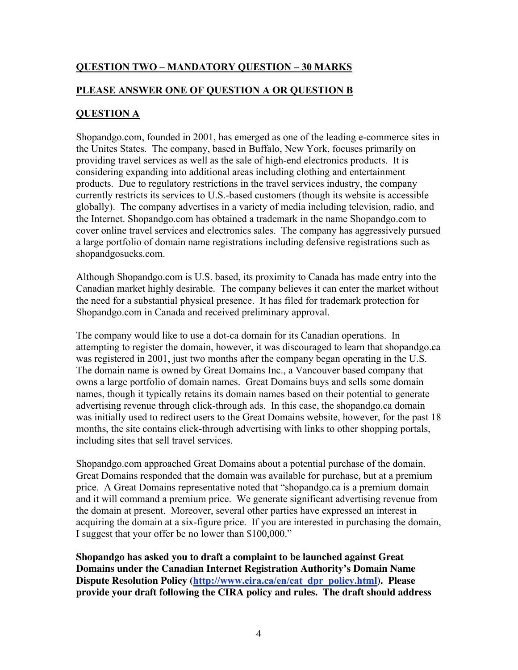### **QUESTION TWO – MANDATORY QUESTION – 30 MARKS**

### **PLEASE ANSWER ONE OF QUESTION A OR QUESTION B**

### **QUESTION A**

Shopandgo.com, founded in 2001, has emerged as one of the leading e-commerce sites in the Unites States. The company, based in Buffalo, New York, focuses primarily on providing travel services as well as the sale of high-end electronics products. It is considering expanding into additional areas including clothing and entertainment products. Due to regulatory restrictions in the travel services industry, the company currently restricts its services to U.S.-based customers (though its website is accessible globally). The company advertises in a variety of media including television, radio, and the Internet. Shopandgo.com has obtained a trademark in the name Shopandgo.com to cover online travel services and electronics sales. The company has aggressively pursued a large portfolio of domain name registrations including defensive registrations such as shopandgosucks.com.

Although Shopandgo.com is U.S. based, its proximity to Canada has made entry into the Canadian market highly desirable. The company believes it can enter the market without the need for a substantial physical presence. It has filed for trademark protection for Shopandgo.com in Canada and received preliminary approval.

The company would like to use a dot-ca domain for its Canadian operations. In attempting to register the domain, however, it was discouraged to learn that shopandgo.ca was registered in 2001, just two months after the company began operating in the U.S. The domain name is owned by Great Domains Inc., a Vancouver based company that owns a large portfolio of domain names. Great Domains buys and sells some domain names, though it typically retains its domain names based on their potential to generate advertising revenue through click-through ads. In this case, the shopandgo.ca domain was initially used to redirect users to the Great Domains website, however, for the past 18 months, the site contains click-through advertising with links to other shopping portals, including sites that sell travel services.

Shopandgo.com approached Great Domains about a potential purchase of the domain. Great Domains responded that the domain was available for purchase, but at a premium price. A Great Domains representative noted that "shopandgo.ca is a premium domain and it will command a premium price. We generate significant advertising revenue from the domain at present. Moreover, several other parties have expressed an interest in acquiring the domain at a six-figure price. If you are interested in purchasing the domain, I suggest that your offer be no lower than \$100,000."

**Shopandgo has asked you to draft a complaint to be launched against Great Domains under the Canadian Internet Registration Authority's Domain Name Dispute Resolution Policy (http://www.cira.ca/en/cat\_dpr\_policy.html). Please provide your draft following the CIRA policy and rules. The draft should address**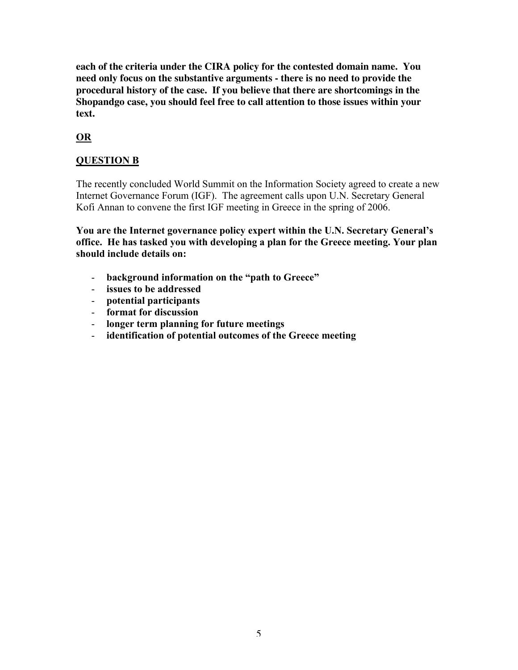**each of the criteria under the CIRA policy for the contested domain name. You need only focus on the substantive arguments - there is no need to provide the procedural history of the case. If you believe that there are shortcomings in the Shopandgo case, you should feel free to call attention to those issues within your text.**

## **OR**

## **QUESTION B**

The recently concluded World Summit on the Information Society agreed to create a new Internet Governance Forum (IGF). The agreement calls upon U.N. Secretary General Kofi Annan to convene the first IGF meeting in Greece in the spring of 2006.

**You are the Internet governance policy expert within the U.N. Secretary General's office. He has tasked you with developing a plan for the Greece meeting. Your plan should include details on:**

- **background information on the "path to Greece"**
- **issues to be addressed**
- **potential participants**
- **format for discussion**
- **longer term planning for future meetings**
- **identification of potential outcomes of the Greece meeting**